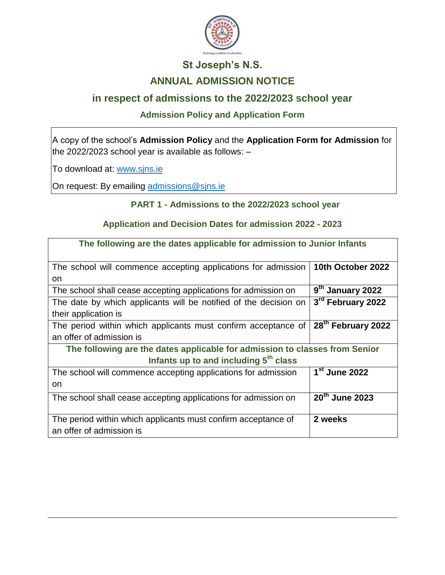

# **St Joseph's N.S. ANNUAL ADMISSION NOTICE**

## **in respect of admissions to the 2022/2023 school year**

### **Admission Policy and Application Form**

A copy of the school's **Admission Policy** and the **Application Form for Admission** for the 2022/2023 school year is available as follows:  $-$ 

To download at: www.sjns.ie

On request: By emailing [admissions@sjns.ie](mailto:admissions@sjns.ie)

#### **PART 1 - Admissions to the 2022/2023 school year**

#### **Application and Decision Dates for admission 2022 - 2023**

| The following are the dates applicable for admission to Junior Infants      |                              |  |
|-----------------------------------------------------------------------------|------------------------------|--|
| The school will commence accepting applications for admission               | 10th October 2022            |  |
| <b>on</b>                                                                   |                              |  |
| The school shall cease accepting applications for admission on              | 9 <sup>th</sup> January 2022 |  |
| The date by which applicants will be notified of the decision on            | 3rd February 2022            |  |
| their application is                                                        |                              |  |
| The period within which applicants must confirm acceptance of               | 28th February 2022           |  |
| an offer of admission is                                                    |                              |  |
| The following are the dates applicable for admission to classes from Senior |                              |  |
| Infants up to and including 5 <sup>th</sup> class                           |                              |  |
| The school will commence accepting applications for admission               | 1 <sup>st</sup> June 2022    |  |
| on                                                                          |                              |  |
| The school shall cease accepting applications for admission on              | 20 <sup>th</sup> June 2023   |  |
|                                                                             |                              |  |
| The period within which applicants must confirm acceptance of               | 2 weeks                      |  |
| an offer of admission is                                                    |                              |  |